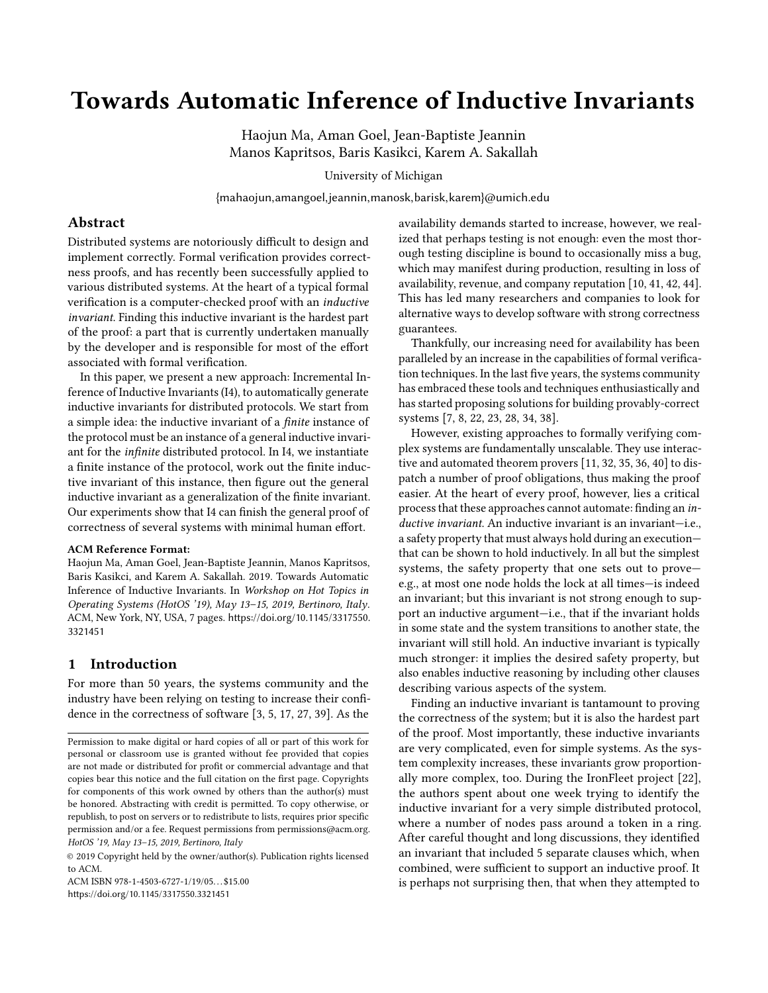# Towards Automatic Inference of Inductive Invariants

Haojun Ma, Aman Goel, Jean-Baptiste Jeannin Manos Kapritsos, Baris Kasikci, Karem A. Sakallah

University of Michigan

{mahaojun,amangoel,jeannin,manosk,barisk,karem}@umich.edu

# Abstract

Distributed systems are notoriously difficult to design and implement correctly. Formal verification provides correctness proofs, and has recently been successfully applied to various distributed systems. At the heart of a typical formal verification is a computer-checked proof with an inductive invariant. Finding this inductive invariant is the hardest part of the proof: a part that is currently undertaken manually by the developer and is responsible for most of the effort associated with formal verification.

In this paper, we present a new approach: Incremental Inference of Inductive Invariants (I4), to automatically generate inductive invariants for distributed protocols. We start from a simple idea: the inductive invariant of a finite instance of the protocol must be an instance of a general inductive invariant for the infinite distributed protocol. In I4, we instantiate a finite instance of the protocol, work out the finite inductive invariant of this instance, then figure out the general inductive invariant as a generalization of the finite invariant. Our experiments show that I4 can finish the general proof of correctness of several systems with minimal human effort.

## ACM Reference Format:

Haojun Ma, Aman Goel, Jean-Baptiste Jeannin, Manos Kapritsos, Baris Kasikci, and Karem A. Sakallah. 2019. Towards Automatic Inference of Inductive Invariants. In Workshop on Hot Topics in Operating Systems (HotOS '19), May 13–15, 2019, Bertinoro, Italy. ACM, New York, NY, USA, [7](#page-6-0) pages. [https://doi.org/10.1145/3317550.](https://doi.org/10.1145/3317550.3321451) [3321451](https://doi.org/10.1145/3317550.3321451)

## 1 Introduction

For more than 50 years, the systems community and the industry have been relying on testing to increase their confidence in the correctness of software [\[3,](#page-5-0) [5,](#page-5-1) [17,](#page-6-1) [27,](#page-6-2) [39\]](#page-6-3). As the

ACM ISBN 978-1-4503-6727-1/19/05 \$15.00 <https://doi.org/10.1145/3317550.3321451>

availability demands started to increase, however, we realized that perhaps testing is not enough: even the most thorough testing discipline is bound to occasionally miss a bug, which may manifest during production, resulting in loss of availability, revenue, and company reputation [\[10,](#page-6-4) [41,](#page-6-5) [42,](#page-6-6) [44\]](#page-6-7). This has led many researchers and companies to look for alternative ways to develop software with strong correctness guarantees.

Thankfully, our increasing need for availability has been paralleled by an increase in the capabilities of formal verification techniques. In the last five years, the systems community has embraced these tools and techniques enthusiastically and has started proposing solutions for building provably-correct systems [\[7,](#page-5-2) [8,](#page-6-8) [22,](#page-6-9) [23,](#page-6-10) [28,](#page-6-11) [34,](#page-6-12) [38\]](#page-6-13).

However, existing approaches to formally verifying complex systems are fundamentally unscalable. They use interactive and automated theorem provers [\[11,](#page-6-14) [32,](#page-6-15) [35,](#page-6-16) [36,](#page-6-17) [40\]](#page-6-18) to dispatch a number of proof obligations, thus making the proof easier. At the heart of every proof, however, lies a critical process that these approaches cannot automate: finding an inductive invariant. An inductive invariant is an invariant-i.e., a safety property that must always hold during an execution that can be shown to hold inductively. In all but the simplest systems, the safety property that one sets out to prove e.g., at most one node holds the lock at all times—is indeed an invariant; but this invariant is not strong enough to support an inductive argument—i.e., that if the invariant holds in some state and the system transitions to another state, the invariant will still hold. An inductive invariant is typically much stronger: it implies the desired safety property, but also enables inductive reasoning by including other clauses describing various aspects of the system.

Finding an inductive invariant is tantamount to proving the correctness of the system; but it is also the hardest part of the proof. Most importantly, these inductive invariants are very complicated, even for simple systems. As the system complexity increases, these invariants grow proportionally more complex, too. During the IronFleet project [\[22\]](#page-6-9), the authors spent about one week trying to identify the inductive invariant for a very simple distributed protocol, where a number of nodes pass around a token in a ring. After careful thought and long discussions, they identified an invariant that included 5 separate clauses which, when combined, were sufficient to support an inductive proof. It is perhaps not surprising then, that when they attempted to

Permission to make digital or hard copies of all or part of this work for personal or classroom use is granted without fee provided that copies are not made or distributed for profit or commercial advantage and that copies bear this notice and the full citation on the first page. Copyrights for components of this work owned by others than the author(s) must be honored. Abstracting with credit is permitted. To copy otherwise, or republish, to post on servers or to redistribute to lists, requires prior specific permission and/or a fee. Request permissions from permissions@acm.org. HotOS '19, May 13–15, 2019, Bertinoro, Italy

<sup>©</sup> 2019 Copyright held by the owner/author(s). Publication rights licensed to ACM.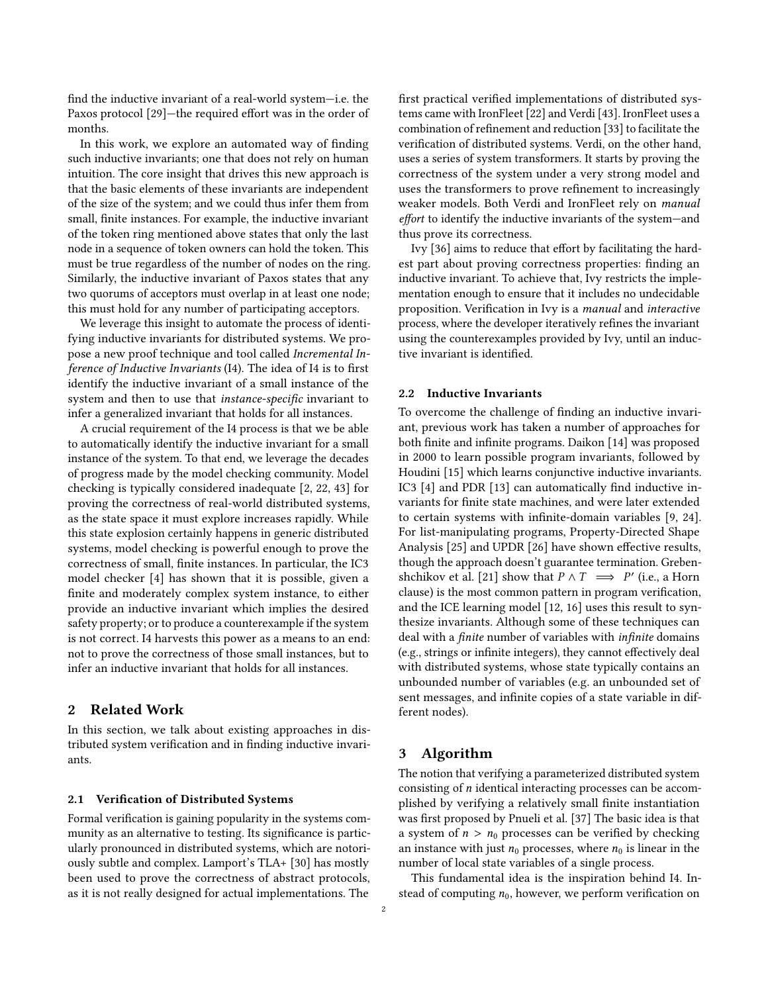find the inductive invariant of a real-world system—i.e. the Paxos protocol [\[29\]](#page-6-19)—the required effort was in the order of months.

In this work, we explore an automated way of finding such inductive invariants; one that does not rely on human intuition. The core insight that drives this new approach is that the basic elements of these invariants are independent of the size of the system; and we could thus infer them from small, finite instances. For example, the inductive invariant of the token ring mentioned above states that only the last node in a sequence of token owners can hold the token. This must be true regardless of the number of nodes on the ring. Similarly, the inductive invariant of Paxos states that any two quorums of acceptors must overlap in at least one node; this must hold for any number of participating acceptors.

We leverage this insight to automate the process of identifying inductive invariants for distributed systems. We propose a new proof technique and tool called Incremental Inference of Inductive Invariants (I4). The idea of I4 is to first identify the inductive invariant of a small instance of the system and then to use that instance-specific invariant to infer a generalized invariant that holds for all instances.

A crucial requirement of the I4 process is that we be able to automatically identify the inductive invariant for a small instance of the system. To that end, we leverage the decades of progress made by the model checking community. Model checking is typically considered inadequate [\[2,](#page-5-3) [22,](#page-6-9) [43\]](#page-6-20) for proving the correctness of real-world distributed systems, as the state space it must explore increases rapidly. While this state explosion certainly happens in generic distributed systems, model checking is powerful enough to prove the correctness of small, finite instances. In particular, the IC3 model checker [\[4\]](#page-5-4) has shown that it is possible, given a finite and moderately complex system instance, to either provide an inductive invariant which implies the desired safety property; or to produce a counterexample if the system is not correct. I4 harvests this power as a means to an end: not to prove the correctness of those small instances, but to infer an inductive invariant that holds for all instances.

# 2 Related Work

In this section, we talk about existing approaches in distributed system verification and in finding inductive invariants.

## 2.1 Verification of Distributed Systems

Formal verification is gaining popularity in the systems community as an alternative to testing. Its significance is particularly pronounced in distributed systems, which are notoriously subtle and complex. Lamport's TLA+ [\[30\]](#page-6-21) has mostly been used to prove the correctness of abstract protocols, as it is not really designed for actual implementations. The

first practical verified implementations of distributed systems came with IronFleet [\[22\]](#page-6-9) and Verdi [\[43\]](#page-6-20). IronFleet uses a combination of refinement and reduction [\[33\]](#page-6-22) to facilitate the verification of distributed systems. Verdi, on the other hand, uses a series of system transformers. It starts by proving the correctness of the system under a very strong model and uses the transformers to prove refinement to increasingly weaker models. Both Verdi and IronFleet rely on manual effort to identify the inductive invariants of the system—and thus prove its correctness.

Ivy [\[36\]](#page-6-17) aims to reduce that effort by facilitating the hardest part about proving correctness properties: finding an inductive invariant. To achieve that, Ivy restricts the implementation enough to ensure that it includes no undecidable proposition. Verification in Ivy is a manual and interactive process, where the developer iteratively refines the invariant using the counterexamples provided by Ivy, until an inductive invariant is identified.

#### 2.2 Inductive Invariants

To overcome the challenge of finding an inductive invariant, previous work has taken a number of approaches for both finite and infinite programs. Daikon [\[14\]](#page-6-23) was proposed in 2000 to learn possible program invariants, followed by Houdini [\[15\]](#page-6-24) which learns conjunctive inductive invariants. IC3 [\[4\]](#page-5-4) and PDR [\[13\]](#page-6-25) can automatically find inductive invariants for finite state machines, and were later extended to certain systems with infinite-domain variables [\[9,](#page-6-26) [24\]](#page-6-27). For list-manipulating programs, Property-Directed Shape Analysis [\[25\]](#page-6-28) and UPDR [\[26\]](#page-6-29) have shown effective results, though the approach doesn't guarantee termination. Greben-shchikov et al. [\[21\]](#page-6-30) show that  $P \wedge T \implies P'$  (i.e., a Horn clause) is the most common pattern in program verification clause) is the most common pattern in program verification, and the ICE learning model [\[12,](#page-6-31) [16\]](#page-6-32) uses this result to synthesize invariants. Although some of these techniques can deal with a finite number of variables with infinite domains (e.g., strings or infinite integers), they cannot effectively deal with distributed systems, whose state typically contains an unbounded number of variables (e.g. an unbounded set of sent messages, and infinite copies of a state variable in different nodes).

## 3 Algorithm

The notion that verifying a parameterized distributed system consisting of n identical interacting processes can be accomplished by verifying a relatively small finite instantiation was first proposed by Pnueli et al. [\[37\]](#page-6-33) The basic idea is that a system of  $n > n_0$  processes can be verified by checking an instance with just  $n_0$  processes, where  $n_0$  is linear in the number of local state variables of a single process.

This fundamental idea is the inspiration behind I4. Instead of computing  $n_0$ , however, we perform verification on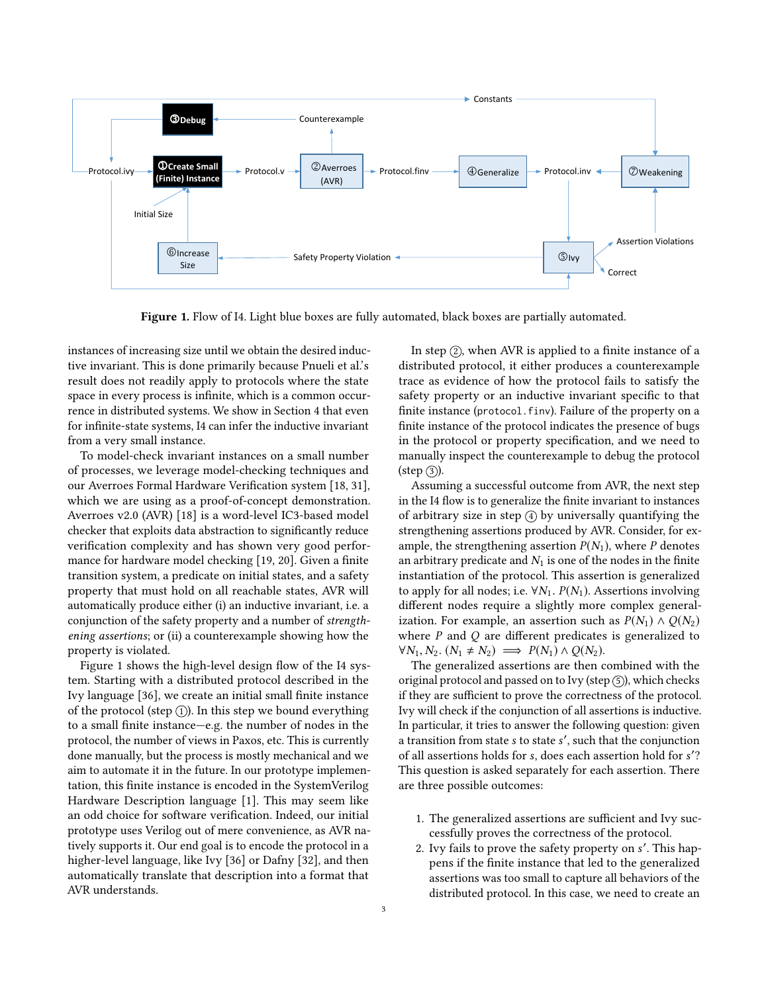<span id="page-2-0"></span>

Figure 1. Flow of I4. Light blue boxes are fully automated, black boxes are partially automated.

instances of increasing size until we obtain the desired inductive invariant. This is done primarily because Pnueli et al.'s result does not readily apply to protocols where the state space in every process is infinite, which is a common occurrence in distributed systems. We show in Section [4](#page-3-0) that even for infinite-state systems, I4 can infer the inductive invariant from a very small instance.

To model-check invariant instances on a small number of processes, we leverage model-checking techniques and our Averroes Formal Hardware Verification system [\[18,](#page-6-34) [31\]](#page-6-35), which we are using as a proof-of-concept demonstration. Averroes v2.0 (AVR) [\[18\]](#page-6-34) is a word-level IC3-based model checker that exploits data abstraction to significantly reduce verification complexity and has shown very good performance for hardware model checking [\[19,](#page-6-36) [20\]](#page-6-37). Given a finite transition system, a predicate on initial states, and a safety property that must hold on all reachable states, AVR will automatically produce either (i) an inductive invariant, i.e. a conjunction of the safety property and a number of strengthening assertions; or (ii) a counterexample showing how the property is violated.

Figure [1](#page-2-0) shows the high-level design flow of the I4 system. Starting with a distributed protocol described in the Ivy language [\[36\]](#page-6-17), we create an initial small finite instance of the protocol (step  $(1)$ ). In this step we bound everything to a small finite instance—e.g. the number of nodes in the protocol, the number of views in Paxos, etc. This is currently done manually, but the process is mostly mechanical and we aim to automate it in the future. In our prototype implementation, this finite instance is encoded in the SystemVerilog Hardware Description language [\[1\]](#page-5-5). This may seem like an odd choice for software verification. Indeed, our initial prototype uses Verilog out of mere convenience, as AVR natively supports it. Our end goal is to encode the protocol in a higher-level language, like Ivy [\[36\]](#page-6-17) or Dafny [\[32\]](#page-6-15), and then automatically translate that description into a format that AVR understands.

In step  $(2)$ , when AVR is applied to a finite instance of a distributed protocol, it either produces a counterexample trace as evidence of how the protocol fails to satisfy the safety property or an inductive invariant specific to that finite instance (protocol.finv). Failure of the property on a finite instance of the protocol indicates the presence of bugs in the protocol or property specification, and we need to manually inspect the counterexample to debug the protocol  $(\text{step } (3)).$ 

Assuming a successful outcome from AVR, the next step in the I4 flow is to generalize the finite invariant to instances of arbitrary size in step  $\left(4\right)$  by universally quantifying the strengthening assertions produced by AVR. Consider, for example, the strengthening assertion  $P(N_1)$ , where P denotes an arbitrary predicate and  $N_1$  is one of the nodes in the finite instantiation of the protocol. This assertion is generalized to apply for all nodes; i.e.  $\forall N_1$ .  $P(N_1)$ . Assertions involving different nodes require a slightly more complex generalization. For example, an assertion such as  $P(N_1) \wedge Q(N_2)$ where  $P$  and  $Q$  are different predicates is generalized to  $\forall N_1, N_2$ .  $(N_1 \neq N_2) \implies P(N_1) \land Q(N_2)$ .

The generalized assertions are then combined with the original protocol and passed on to Ivy (step  $(5)$ ), which checks if they are sufficient to prove the correctness of the protocol. Ivy will check if the conjunction of all assertions is inductive. In particular, it tries to answer the following question: given a transition from state s to state s', such that the conjunction<br>of all assertions holds for s, does each assertion hold for s'? of all assertions holds for s, does each assertion hold for s'?<br>This question is asked separately for each assertion. There This question is asked separately for each assertion. There are three possible outcomes:

- 1. The generalized assertions are sufficient and Ivy successfully proves the correctness of the protocol.
- 2. Ivy fails to prove the safety property on s'. This hap-<br>nens if the finite instance that led to the generalized pens if the finite instance that led to the generalized assertions was too small to capture all behaviors of the distributed protocol. In this case, we need to create an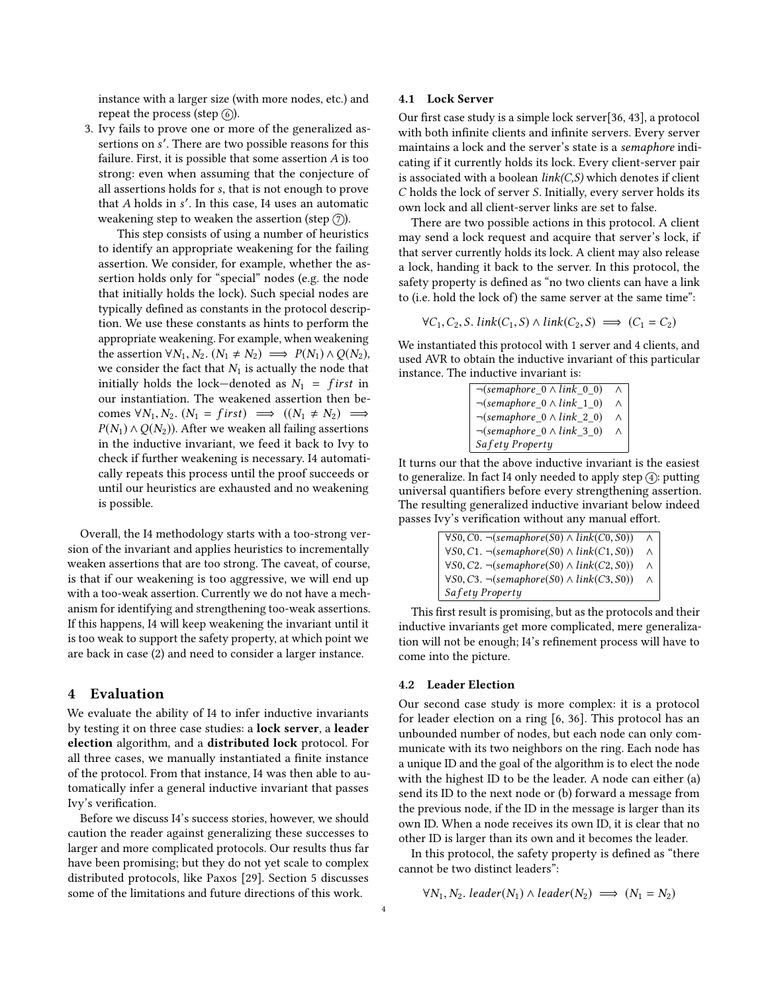instance with a larger size (with more nodes, etc.) and repeat the process (step  $(6)$ ).

3. Ivy fails to prove one or more of the generalized assertions on s'. There are two possible reasons for this<br>failure. First, it is possible that some assertion 4 is too failure. First, it is possible that some assertion  $A$  is too strong: even when assuming that the conjecture of all assertions holds for s, that is not enough to prove that A holds in s'. In this case, I4 uses an automatic<br>weakening step to weaken the assertion (step  $\widehat{Z}$ ) weakening step to weaken the assertion (step  $(7)$ ).

This step consists of using a number of heuristics to identify an appropriate weakening for the failing assertion. We consider, for example, whether the assertion holds only for "special" nodes (e.g. the node that initially holds the lock). Such special nodes are typically defined as constants in the protocol description. We use these constants as hints to perform the appropriate weakening. For example, when weakening the assertion  $\forall N_1, N_2$ .  $(N_1 \neq N_2) \implies P(N_1) \land Q(N_2)$ , we consider the fact that  $N_1$  is actually the node that initially holds the lock—denoted as  $N_1$  = first in our instantiation. The weakened assertion then becomes  $\forall N_1, N_2$ .  $(N_1 = first) \implies ((N_1 \neq N_2) \implies$  $P(N_1) \wedge Q(N_2)$ ). After we weaken all failing assertions in the inductive invariant, we feed it back to Ivy to check if further weakening is necessary. I4 automatically repeats this process until the proof succeeds or until our heuristics are exhausted and no weakening is possible.

Overall, the I4 methodology starts with a too-strong version of the invariant and applies heuristics to incrementally weaken assertions that are too strong. The caveat, of course, is that if our weakening is too aggressive, we will end up with a too-weak assertion. Currently we do not have a mechanism for identifying and strengthening too-weak assertions. If this happens, I4 will keep weakening the invariant until it is too weak to support the safety property, at which point we are back in case (2) and need to consider a larger instance.

## <span id="page-3-0"></span>4 Evaluation

We evaluate the ability of I4 to infer inductive invariants by testing it on three case studies: a lock server, a leader election algorithm, and a distributed lock protocol. For all three cases, we manually instantiated a finite instance of the protocol. From that instance, I4 was then able to automatically infer a general inductive invariant that passes Ivy's verification.

Before we discuss I4's success stories, however, we should caution the reader against generalizing these successes to larger and more complicated protocols. Our results thus far have been promising; but they do not yet scale to complex distributed protocols, like Paxos [\[29\]](#page-6-19). Section [5](#page-5-6) discusses some of the limitations and future directions of this work.

#### 4.1 Lock Server

Our first case study is a simple lock server[\[36,](#page-6-17) [43\]](#page-6-20), a protocol with both infinite clients and infinite servers. Every server maintains a lock and the server's state is a semaphore indicating if it currently holds its lock. Every client-server pair is associated with a boolean  $link(C, S)$  which denotes if client C holds the lock of server S. Initially, every server holds its own lock and all client-server links are set to false.

There are two possible actions in this protocol. A client may send a lock request and acquire that server's lock, if that server currently holds its lock. A client may also release a lock, handing it back to the server. In this protocol, the safety property is defined as "no two clients can have a link to (i.e. hold the lock of) the same server at the same time":

$$
\forall C_1, C_2, S. \, link(C_1, S) \land link(C_2, S) \implies (C_1 = C_2)
$$

We instantiated this protocol with 1 server and 4 clients, and used AVR to obtain the inductive invariant of this particular instance. The inductive invariant is:

| $\neg$ (semaphore $0 \wedge link 0 0$ ) |          |
|-----------------------------------------|----------|
| $\neg$ (semaphore $0 \wedge link 1 0$ ) | Λ        |
| $\neg$ (semaphore $0 \wedge link 2 0$ ) | Λ        |
| $\neg$ (semaphore $0 \wedge link 3 0$ ) | $\wedge$ |
| Safety Property                         |          |

It turns our that the above inductive invariant is the easiest to generalize. In fact I4 only needed to apply step  $\left(4\right)$ : putting universal quantifiers before every strengthening assertion. The resulting generalized inductive invariant below indeed passes Ivy's verification without any manual effort.

| $\forall$ S0, C0. $\neg$ (semaphore(S0) $\land$ link(C0, S0)) | ∧        |
|---------------------------------------------------------------|----------|
| $\forall$ S0, C1. $\neg$ (semaphore(S0) $\land$ link(C1, S0)) | $\wedge$ |
| $\forall$ S0, C2. $\neg$ (semaphore(S0) $\land$ link(C2, S0)) | Λ        |
| $\forall$ S0, C3. $\neg$ (semaphore(S0) $\land$ link(C3, S0)) | $\wedge$ |
| Safety Property                                               |          |

This first result is promising, but as the protocols and their inductive invariants get more complicated, mere generalization will not be enough; I4's refinement process will have to come into the picture.

#### 4.2 Leader Election

Our second case study is more complex: it is a protocol for leader election on a ring [\[6,](#page-5-7) [36\]](#page-6-17). This protocol has an unbounded number of nodes, but each node can only communicate with its two neighbors on the ring. Each node has a unique ID and the goal of the algorithm is to elect the node with the highest ID to be the leader. A node can either (a) send its ID to the next node or (b) forward a message from the previous node, if the ID in the message is larger than its own ID. When a node receives its own ID, it is clear that no other ID is larger than its own and it becomes the leader.

In this protocol, the safety property is defined as "there cannot be two distinct leaders":

$$
\forall N_1, N_2. \mathit{leader}(N_1) \land \mathit{leader}(N_2) \implies (N_1 = N_2)
$$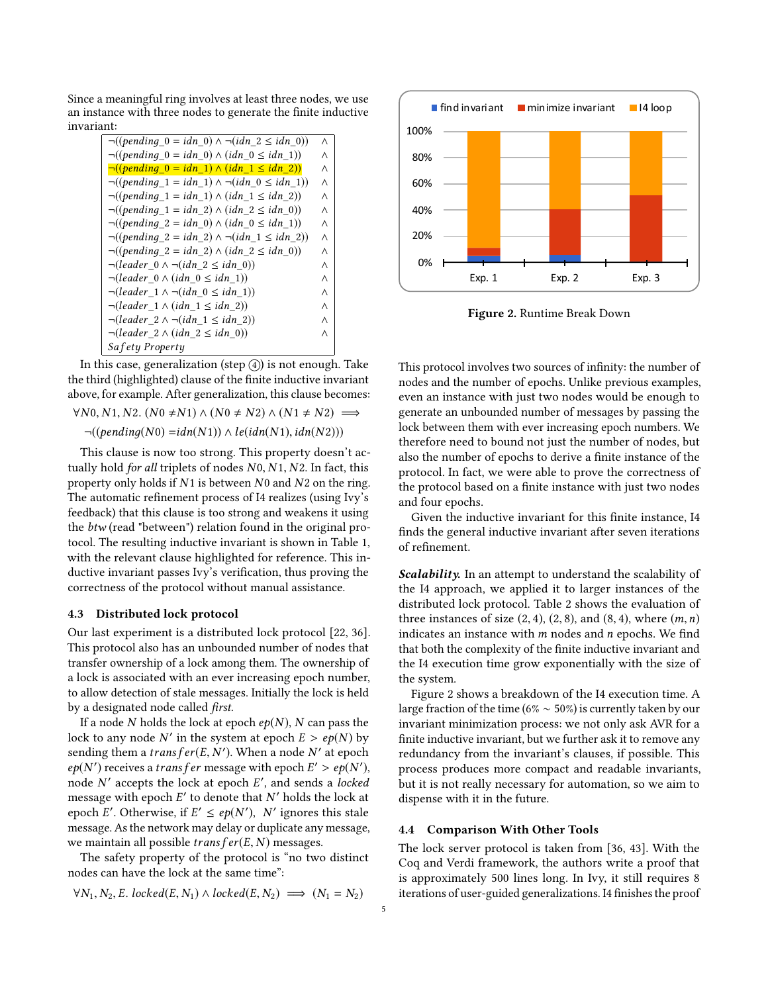Since a meaningful ring involves at least three nodes, we use an instance with three nodes to generate the finite inductive invariant:

| $\neg((pending 0 = idn 0) \land \neg(idn 2 \leq idn 0))$        | Λ |
|-----------------------------------------------------------------|---|
| $\neg((pending 0 = idn 0) \wedge (idn 0 \le idn 1))$            | Λ |
| $\neg((pending 0 = idn 1) \wedge (idn 1 \le idn 2))$            | Λ |
| $\neg((pending 1 = idn 1) \land \neg(idn 0 \leq idn 1))$        | Λ |
| $\neg((pending_1 = idn_1) \wedge (idn_1 \leq idn_2))$           | Λ |
| $\neg((pending 1 = idn 2) \wedge (idn 2 \leq idn 0))$           | Λ |
| $\neg((pending 2 = idn 0) \wedge (idn 0 \le idn 1))$            | Λ |
| $\neg((pending 2 = idn 2) \land \neg(idn 1 \leq idn 2))$        | Λ |
| $\neg((pending 2 = idn 2) \wedge (idn 2 \le idn 0))$            | Λ |
| $\neg (leader\ 0 \land \neg (idn\ 2 \leq idn\ 0))$              | Λ |
| $\neg (leader \space 0 \land (idn \space 0 \leq idn \space 1))$ | Λ |
| $\neg (leader \ 1 \land \neg (idn \ 0 \leq idn \ 1))$           | Λ |
| $\neg (leader \ 1 \land (idn \ 1 \leq idn \ 2))$                | Λ |
| $\neg (leader\ 2 \land \neg (idn\ 1 \leq idn\ 2))$              | Λ |
| $\neg (leader\ 2 \land (idn\ 2 \leq idn\ 0))$                   | Λ |
| Safety Property                                                 |   |

In this case, generalization (step  $\overline{4}$ ) is not enough. Take the third (highlighted) clause of the finite inductive invariant above, for example. After generalization, this clause becomes:

 $\forall N0, N1, N2$ .  $(N0 \neq N1) \land (N0 \neq N2) \land (N1 \neq N2) \implies$ 

 $\neg((pending(N0) = idn(N1)) \wedge le(idn(N1), idn(N2)))$ 

This clause is now too strong. This property doesn't actually hold for all triplets of nodes N0, N1, N2. In fact, this property only holds if N<sup>1</sup> is between N<sup>0</sup> and N<sup>2</sup> on the ring. The automatic refinement process of I4 realizes (using Ivy's feedback) that this clause is too strong and weakens it using the btw (read "between") relation found in the original protocol. The resulting inductive invariant is shown in Table [1,](#page-5-8) with the relevant clause highlighted for reference. This inductive invariant passes Ivy's verification, thus proving the correctness of the protocol without manual assistance.

#### 4.3 Distributed lock protocol

Our last experiment is a distributed lock protocol [\[22,](#page-6-9) [36\]](#page-6-17). This protocol also has an unbounded number of nodes that transfer ownership of a lock among them. The ownership of a lock is associated with an ever increasing epoch number, to allow detection of stale messages. Initially the lock is held by a designated node called first.

If a node N holds the lock at epoch  $ep(N)$ , N can pass the lock to any node N' in the system at epoch  $E > ep(N)$  by sending them a transfer  $(F, N')$ . When a node N' at epoch sending them a *transfer*(*E*, *N'*). When a node *N'* at epoch  $E' > e_0(N')$  receives a *transfer* message with epoch  $E' > e_0(N')$  $ep(N')$  receives a *trans f er* message with epoch  $E' > ep(N')$ ,<br>node N' accents the lock at epoch  $F'$  and sends a locked node N' accepts the lock at epoch E', and sends a *locked* message with epoch  $F'$  to denote that N' holds the lock at message with epoch E' to denote that N' holds the lock at epoch  $F'$ . Otherwise if  $F' \leq en(N')$ . N' ignores this stale epoch E'. Otherwise, if  $E' \le ep(N')$ , N' ignores this stale<br>message. As the network may delay or duplicate any message message. As the network may delay or duplicate any message, we maintain all possible  $transfer(E, N)$  messages.

The safety property of the protocol is "no two distinct nodes can have the lock at the same time":

$$
\forall N_1, N_2, E. locked(E, N_1) \land locked(E, N_2) \implies (N_1 = N_2)
$$

<span id="page-4-0"></span>

Figure 2. Runtime Break Down

This protocol involves two sources of infinity: the number of nodes and the number of epochs. Unlike previous examples, even an instance with just two nodes would be enough to generate an unbounded number of messages by passing the lock between them with ever increasing epoch numbers. We therefore need to bound not just the number of nodes, but also the number of epochs to derive a finite instance of the protocol. In fact, we were able to prove the correctness of the protocol based on a finite instance with just two nodes and four epochs.

Given the inductive invariant for this finite instance, I4 finds the general inductive invariant after seven iterations of refinement.

Scalability. In an attempt to understand the scalability of the I4 approach, we applied it to larger instances of the distributed lock protocol. Table [2](#page-5-9) shows the evaluation of three instances of size  $(2, 4)$ ,  $(2, 8)$ , and  $(8, 4)$ , where  $(m, n)$ indicates an instance with  $m$  nodes and  $n$  epochs. We find that both the complexity of the finite inductive invariant and the I4 execution time grow exponentially with the size of the system.

Figure [2](#page-4-0) shows a breakdown of the I4 execution time. A large fraction of the time (6%  $\sim$  50%) is currently taken by our invariant minimization process: we not only ask AVR for a finite inductive invariant, but we further ask it to remove any redundancy from the invariant's clauses, if possible. This process produces more compact and readable invariants, but it is not really necessary for automation, so we aim to dispense with it in the future.

#### 4.4 Comparison With Other Tools

The lock server protocol is taken from [\[36,](#page-6-17) [43\]](#page-6-20). With the Coq and Verdi framework, the authors write a proof that is approximately 500 lines long. In Ivy, it still requires 8 iterations of user-guided generalizations. I4 finishes the proof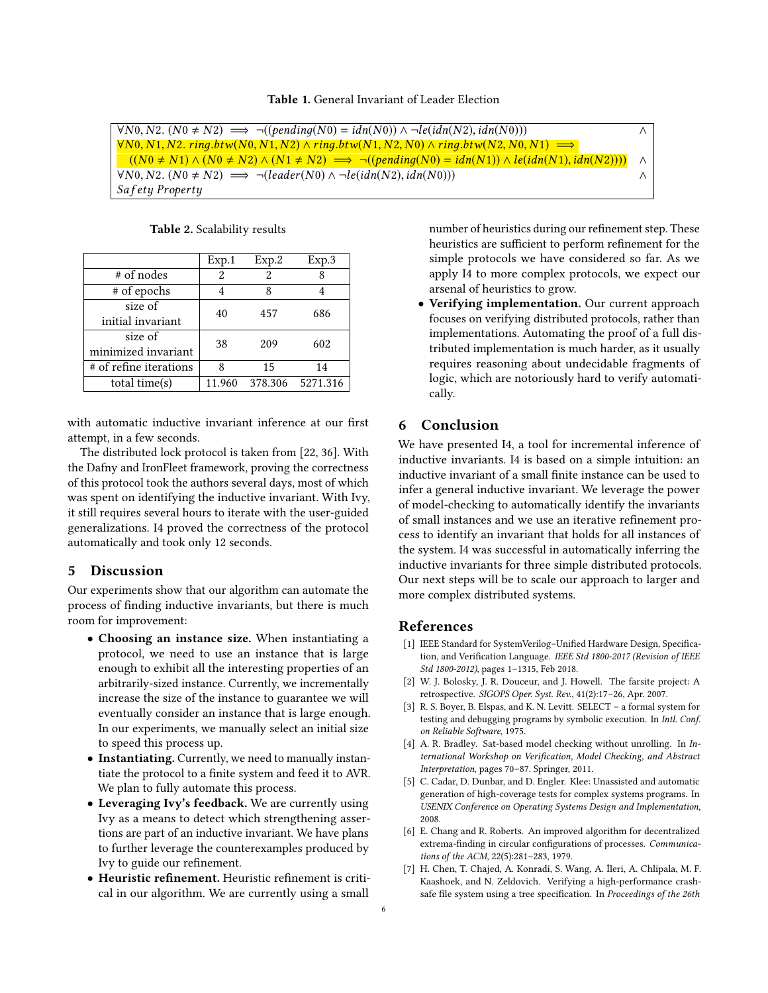<span id="page-5-8"></span>

| $\forall NO, N2. (N0 \neq N2) \implies \neg((pending(N0) = idn(N0)) \land \neg le(idn(N2), idn(N0)))$                    |          |
|--------------------------------------------------------------------------------------------------------------------------|----------|
| $\forall N0, N1, N2.$ ring.btw(N0, N1, N2) $\land$ ring.btw(N1, N2, N0) $\land$ ring.btw(N2, N0, N1) $\implies$          |          |
| $((N0 \neq N1) \land (N0 \neq N2) \land (N1 \neq N2) \implies \neg((pending(N0) = idn(N1)) \land le(idn(N1), idn(N2))))$ | $\wedge$ |
| $\forall NO, N2. (N0 \neq N2) \implies \neg (leader(N0) \land \neg le(idn(N2), idn(N0)))$                                |          |
| Safety Property                                                                                                          |          |
|                                                                                                                          |          |

Table 2. Scalability results

<span id="page-5-9"></span>

|                        | Exp.1  | Exp.2     | Exp.3    |
|------------------------|--------|-----------|----------|
| # of nodes             | 2      | 2         |          |
| # of epochs            |        | 8         |          |
| size of                | 40     | 457       | 686      |
| initial invariant      |        |           |          |
| size of                |        | 38<br>209 | 602      |
| minimized invariant    |        |           |          |
| # of refine iterations | ጸ      | 15        | 14       |
| total time(s)          | 11.960 | 378.306   | 5271.316 |

with automatic inductive invariant inference at our first attempt, in a few seconds.

The distributed lock protocol is taken from [\[22,](#page-6-9) [36\]](#page-6-17). With the Dafny and IronFleet framework, proving the correctness of this protocol took the authors several days, most of which was spent on identifying the inductive invariant. With Ivy, it still requires several hours to iterate with the user-guided generalizations. I4 proved the correctness of the protocol automatically and took only 12 seconds.

## <span id="page-5-6"></span>5 Discussion

Our experiments show that our algorithm can automate the process of finding inductive invariants, but there is much room for improvement:

- Choosing an instance size. When instantiating a protocol, we need to use an instance that is large enough to exhibit all the interesting properties of an arbitrarily-sized instance. Currently, we incrementally increase the size of the instance to guarantee we will eventually consider an instance that is large enough. In our experiments, we manually select an initial size to speed this process up.
- Instantiating. Currently, we need to manually instantiate the protocol to a finite system and feed it to AVR. We plan to fully automate this process.
- Leveraging Ivy's feedback. We are currently using Ivy as a means to detect which strengthening assertions are part of an inductive invariant. We have plans to further leverage the counterexamples produced by Ivy to guide our refinement.
- Heuristic refinement. Heuristic refinement is critical in our algorithm. We are currently using a small

number of heuristics during our refinement step. These heuristics are sufficient to perform refinement for the simple protocols we have considered so far. As we apply I4 to more complex protocols, we expect our arsenal of heuristics to grow.

• Verifying implementation. Our current approach focuses on verifying distributed protocols, rather than implementations. Automating the proof of a full distributed implementation is much harder, as it usually requires reasoning about undecidable fragments of logic, which are notoriously hard to verify automatically.

## 6 Conclusion

We have presented I4, a tool for incremental inference of inductive invariants. I4 is based on a simple intuition: an inductive invariant of a small finite instance can be used to infer a general inductive invariant. We leverage the power of model-checking to automatically identify the invariants of small instances and we use an iterative refinement process to identify an invariant that holds for all instances of the system. I4 was successful in automatically inferring the inductive invariants for three simple distributed protocols. Our next steps will be to scale our approach to larger and more complex distributed systems.

## References

- <span id="page-5-5"></span>[1] IEEE Standard for SystemVerilog–Unified Hardware Design, Specification, and Verification Language. IEEE Std 1800-2017 (Revision of IEEE Std 1800-2012), pages 1–1315, Feb 2018.
- <span id="page-5-3"></span>[2] W. J. Bolosky, J. R. Douceur, and J. Howell. The farsite project: A retrospective. SIGOPS Oper. Syst. Rev., 41(2):17–26, Apr. 2007.
- <span id="page-5-0"></span>[3] R. S. Boyer, B. Elspas, and K. N. Levitt. SELECT – a formal system for testing and debugging programs by symbolic execution. In Intl. Conf. on Reliable Software, 1975.
- <span id="page-5-4"></span>[4] A. R. Bradley. Sat-based model checking without unrolling. In International Workshop on Verification, Model Checking, and Abstract Interpretation, pages 70–87. Springer, 2011.
- <span id="page-5-1"></span>[5] C. Cadar, D. Dunbar, and D. Engler. Klee: Unassisted and automatic generation of high-coverage tests for complex systems programs. In USENIX Conference on Operating Systems Design and Implementation, 2008.
- <span id="page-5-7"></span>[6] E. Chang and R. Roberts. An improved algorithm for decentralized extrema-finding in circular configurations of processes. Communications of the ACM, 22(5):281–283, 1979.
- <span id="page-5-2"></span>[7] H. Chen, T. Chajed, A. Konradi, S. Wang, A. İleri, A. Chlipala, M. F. Kaashoek, and N. Zeldovich. Verifying a high-performance crashsafe file system using a tree specification. In Proceedings of the 26th